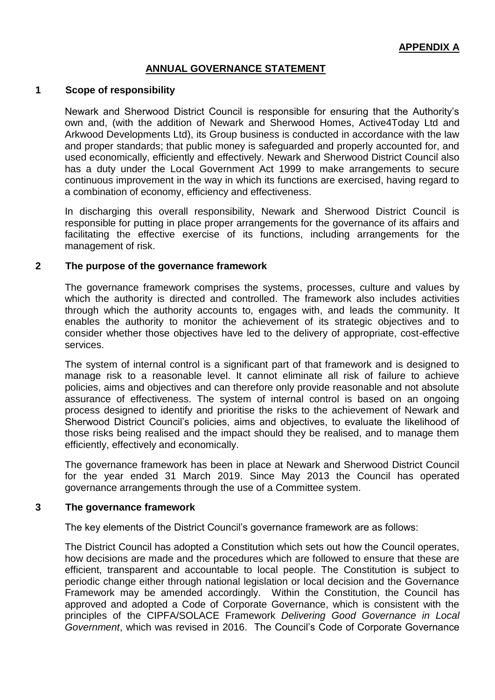# **ANNUAL GOVERNANCE STATEMENT**

#### **1 Scope of responsibility**

Newark and Sherwood District Council is responsible for ensuring that the Authority's own and, (with the addition of Newark and Sherwood Homes, Active4Today Ltd and Arkwood Developments Ltd), its Group business is conducted in accordance with the law and proper standards; that public money is safeguarded and properly accounted for, and used economically, efficiently and effectively. Newark and Sherwood District Council also has a duty under the Local Government Act 1999 to make arrangements to secure continuous improvement in the way in which its functions are exercised, having regard to a combination of economy, efficiency and effectiveness.

In discharging this overall responsibility, Newark and Sherwood District Council is responsible for putting in place proper arrangements for the governance of its affairs and facilitating the effective exercise of its functions, including arrangements for the management of risk.

#### **2 The purpose of the governance framework**

The governance framework comprises the systems, processes, culture and values by which the authority is directed and controlled. The framework also includes activities through which the authority accounts to, engages with, and leads the community. It enables the authority to monitor the achievement of its strategic objectives and to consider whether those objectives have led to the delivery of appropriate, cost-effective services.

The system of internal control is a significant part of that framework and is designed to manage risk to a reasonable level. It cannot eliminate all risk of failure to achieve policies, aims and objectives and can therefore only provide reasonable and not absolute assurance of effectiveness. The system of internal control is based on an ongoing process designed to identify and prioritise the risks to the achievement of Newark and Sherwood District Council's policies, aims and objectives, to evaluate the likelihood of those risks being realised and the impact should they be realised, and to manage them efficiently, effectively and economically.

The governance framework has been in place at Newark and Sherwood District Council for the year ended 31 March 2019. Since May 2013 the Council has operated governance arrangements through the use of a Committee system.

#### **3 The governance framework**

The key elements of the District Council's governance framework are as follows:

The District Council has adopted a Constitution which sets out how the Council operates, how decisions are made and the procedures which are followed to ensure that these are efficient, transparent and accountable to local people. The Constitution is subject to periodic change either through national legislation or local decision and the Governance Framework may be amended accordingly. Within the Constitution, the Council has approved and adopted a Code of Corporate Governance, which is consistent with the principles of the CIPFA/SOLACE Framework *Delivering Good Governance in Local Government*, which was revised in 2016. The Council's Code of Corporate Governance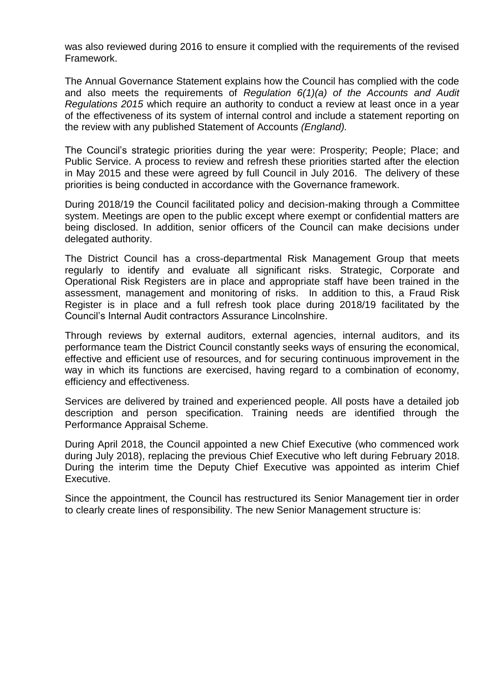was also reviewed during 2016 to ensure it complied with the requirements of the revised Framework.

The Annual Governance Statement explains how the Council has complied with the code and also meets the requirements of *Regulation 6(1)(a) of the Accounts and Audit Regulations 2015* which require an authority to conduct a review at least once in a year of the effectiveness of its system of internal control and include a statement reporting on the review with any published Statement of Accounts *(England).* 

The Council's strategic priorities during the year were: Prosperity; People; Place; and Public Service. A process to review and refresh these priorities started after the election in May 2015 and these were agreed by full Council in July 2016. The delivery of these priorities is being conducted in accordance with the Governance framework.

During 2018/19 the Council facilitated policy and decision-making through a Committee system. Meetings are open to the public except where exempt or confidential matters are being disclosed. In addition, senior officers of the Council can make decisions under delegated authority.

The District Council has a cross-departmental Risk Management Group that meets regularly to identify and evaluate all significant risks. Strategic, Corporate and Operational Risk Registers are in place and appropriate staff have been trained in the assessment, management and monitoring of risks. In addition to this, a Fraud Risk Register is in place and a full refresh took place during 2018/19 facilitated by the Council's Internal Audit contractors Assurance Lincolnshire.

Through reviews by external auditors, external agencies, internal auditors, and its performance team the District Council constantly seeks ways of ensuring the economical, effective and efficient use of resources, and for securing continuous improvement in the way in which its functions are exercised, having regard to a combination of economy, efficiency and effectiveness.

Services are delivered by trained and experienced people. All posts have a detailed job description and person specification. Training needs are identified through the Performance Appraisal Scheme.

During April 2018, the Council appointed a new Chief Executive (who commenced work during July 2018), replacing the previous Chief Executive who left during February 2018. During the interim time the Deputy Chief Executive was appointed as interim Chief Executive.

Since the appointment, the Council has restructured its Senior Management tier in order to clearly create lines of responsibility. The new Senior Management structure is: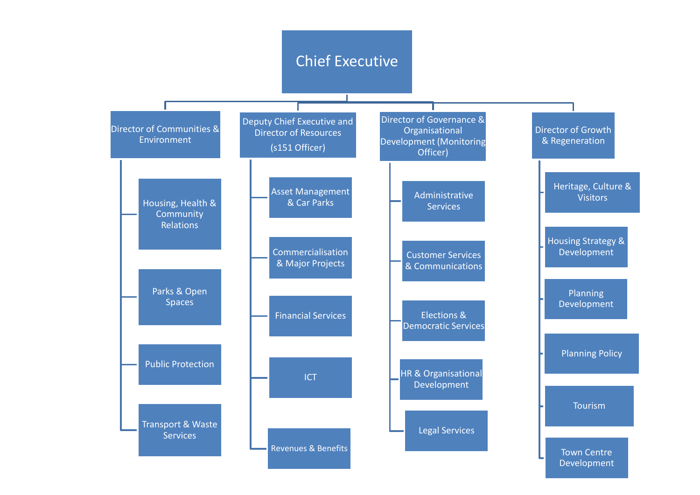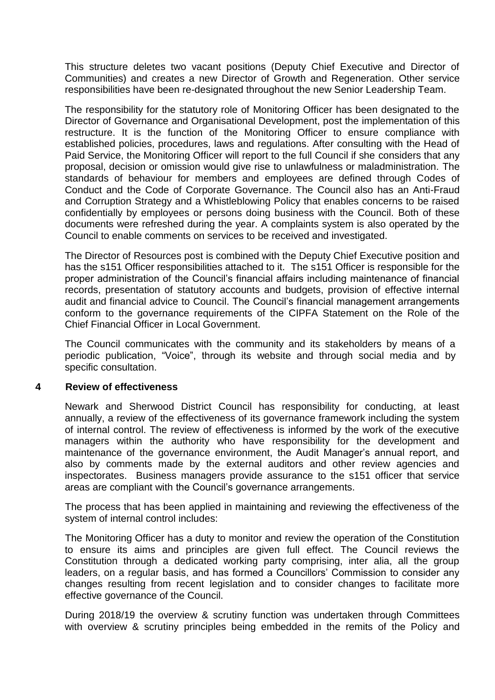This structure deletes two vacant positions (Deputy Chief Executive and Director of Communities) and creates a new Director of Growth and Regeneration. Other service responsibilities have been re-designated throughout the new Senior Leadership Team.

The responsibility for the statutory role of Monitoring Officer has been designated to the Director of Governance and Organisational Development, post the implementation of this restructure. It is the function of the Monitoring Officer to ensure compliance with established policies, procedures, laws and regulations. After consulting with the Head of Paid Service, the Monitoring Officer will report to the full Council if she considers that any proposal, decision or omission would give rise to unlawfulness or maladministration. The standards of behaviour for members and employees are defined through Codes of Conduct and the Code of Corporate Governance. The Council also has an Anti-Fraud and Corruption Strategy and a Whistleblowing Policy that enables concerns to be raised confidentially by employees or persons doing business with the Council. Both of these documents were refreshed during the year. A complaints system is also operated by the Council to enable comments on services to be received and investigated.

The Director of Resources post is combined with the Deputy Chief Executive position and has the s151 Officer responsibilities attached to it. The s151 Officer is responsible for the proper administration of the Council's financial affairs including maintenance of financial records, presentation of statutory accounts and budgets, provision of effective internal audit and financial advice to Council. The Council's financial management arrangements conform to the governance requirements of the CIPFA Statement on the Role of the Chief Financial Officer in Local Government.

The Council communicates with the community and its stakeholders by means of a periodic publication, "Voice", through its website and through social media and by specific consultation.

### **4 Review of effectiveness**

Newark and Sherwood District Council has responsibility for conducting, at least annually, a review of the effectiveness of its governance framework including the system of internal control. The review of effectiveness is informed by the work of the executive managers within the authority who have responsibility for the development and maintenance of the governance environment, the Audit Manager's annual report, and also by comments made by the external auditors and other review agencies and inspectorates. Business managers provide assurance to the s151 officer that service areas are compliant with the Council's governance arrangements.

The process that has been applied in maintaining and reviewing the effectiveness of the system of internal control includes:

The Monitoring Officer has a duty to monitor and review the operation of the Constitution to ensure its aims and principles are given full effect. The Council reviews the Constitution through a dedicated working party comprising, inter alia, all the group leaders, on a regular basis, and has formed a Councillors' Commission to consider any changes resulting from recent legislation and to consider changes to facilitate more effective governance of the Council.

During 2018/19 the overview & scrutiny function was undertaken through Committees with overview & scrutiny principles being embedded in the remits of the Policy and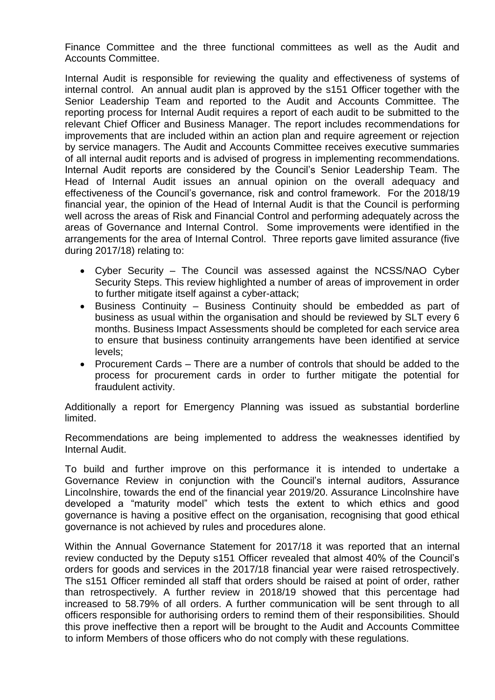Finance Committee and the three functional committees as well as the Audit and Accounts Committee.

Internal Audit is responsible for reviewing the quality and effectiveness of systems of internal control. An annual audit plan is approved by the s151 Officer together with the Senior Leadership Team and reported to the Audit and Accounts Committee. The reporting process for Internal Audit requires a report of each audit to be submitted to the relevant Chief Officer and Business Manager. The report includes recommendations for improvements that are included within an action plan and require agreement or rejection by service managers. The Audit and Accounts Committee receives executive summaries of all internal audit reports and is advised of progress in implementing recommendations. Internal Audit reports are considered by the Council's Senior Leadership Team. The Head of Internal Audit issues an annual opinion on the overall adequacy and effectiveness of the Council's governance, risk and control framework. For the 2018/19 financial year, the opinion of the Head of Internal Audit is that the Council is performing well across the areas of Risk and Financial Control and performing adequately across the areas of Governance and Internal Control. Some improvements were identified in the arrangements for the area of Internal Control. Three reports gave limited assurance (five during 2017/18) relating to:

- Cyber Security The Council was assessed against the NCSS/NAO Cyber Security Steps. This review highlighted a number of areas of improvement in order to further mitigate itself against a cyber-attack;
- Business Continuity Business Continuity should be embedded as part of business as usual within the organisation and should be reviewed by SLT every 6 months. Business Impact Assessments should be completed for each service area to ensure that business continuity arrangements have been identified at service levels;
- Procurement Cards There are a number of controls that should be added to the process for procurement cards in order to further mitigate the potential for fraudulent activity.

Additionally a report for Emergency Planning was issued as substantial borderline limited.

Recommendations are being implemented to address the weaknesses identified by Internal Audit.

To build and further improve on this performance it is intended to undertake a Governance Review in conjunction with the Council's internal auditors, Assurance Lincolnshire, towards the end of the financial year 2019/20. Assurance Lincolnshire have developed a "maturity model" which tests the extent to which ethics and good governance is having a positive effect on the organisation, recognising that good ethical governance is not achieved by rules and procedures alone.

Within the Annual Governance Statement for 2017/18 it was reported that an internal review conducted by the Deputy s151 Officer revealed that almost 40% of the Council's orders for goods and services in the 2017/18 financial year were raised retrospectively. The s151 Officer reminded all staff that orders should be raised at point of order, rather than retrospectively. A further review in 2018/19 showed that this percentage had increased to 58.79% of all orders. A further communication will be sent through to all officers responsible for authorising orders to remind them of their responsibilities. Should this prove ineffective then a report will be brought to the Audit and Accounts Committee to inform Members of those officers who do not comply with these regulations.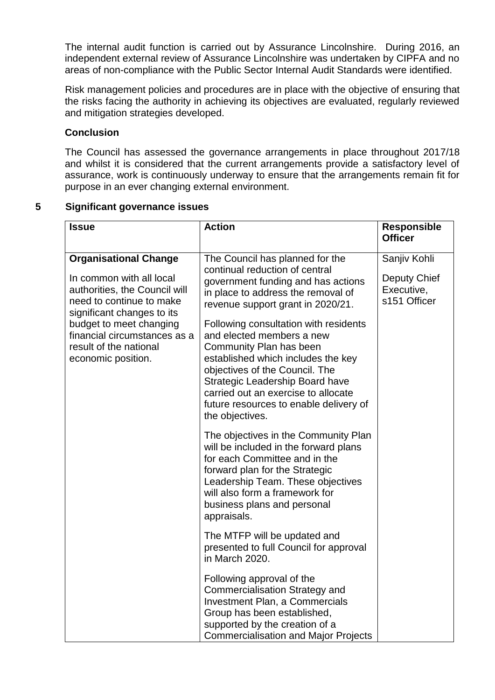The internal audit function is carried out by Assurance Lincolnshire. During 2016, an independent external review of Assurance Lincolnshire was undertaken by CIPFA and no areas of non-compliance with the Public Sector Internal Audit Standards were identified.

Risk management policies and procedures are in place with the objective of ensuring that the risks facing the authority in achieving its objectives are evaluated, regularly reviewed and mitigation strategies developed.

# **Conclusion**

The Council has assessed the governance arrangements in place throughout 2017/18 and whilst it is considered that the current arrangements provide a satisfactory level of assurance, work is continuously underway to ensure that the arrangements remain fit for purpose in an ever changing external environment.

# **5 Significant governance issues**

| <b>Issue</b>                                                                                                                                                                                                                                                   | <b>Action</b>                                                                                                                                                                                                                                                                                                                                                                                                                                                                                             | <b>Responsible</b><br><b>Officer</b>                       |
|----------------------------------------------------------------------------------------------------------------------------------------------------------------------------------------------------------------------------------------------------------------|-----------------------------------------------------------------------------------------------------------------------------------------------------------------------------------------------------------------------------------------------------------------------------------------------------------------------------------------------------------------------------------------------------------------------------------------------------------------------------------------------------------|------------------------------------------------------------|
| <b>Organisational Change</b><br>In common with all local<br>authorities, the Council will<br>need to continue to make<br>significant changes to its<br>budget to meet changing<br>financial circumstances as a<br>result of the national<br>economic position. | The Council has planned for the<br>continual reduction of central<br>government funding and has actions<br>in place to address the removal of<br>revenue support grant in 2020/21.<br>Following consultation with residents<br>and elected members a new<br>Community Plan has been<br>established which includes the key<br>objectives of the Council. The<br><b>Strategic Leadership Board have</b><br>carried out an exercise to allocate<br>future resources to enable delivery of<br>the objectives. | Sanjiv Kohli<br>Deputy Chief<br>Executive,<br>s151 Officer |
|                                                                                                                                                                                                                                                                | The objectives in the Community Plan<br>will be included in the forward plans<br>for each Committee and in the<br>forward plan for the Strategic<br>Leadership Team. These objectives<br>will also form a framework for<br>business plans and personal<br>appraisals.                                                                                                                                                                                                                                     |                                                            |
|                                                                                                                                                                                                                                                                | The MTFP will be updated and<br>presented to full Council for approval<br>in March 2020.                                                                                                                                                                                                                                                                                                                                                                                                                  |                                                            |
|                                                                                                                                                                                                                                                                | Following approval of the<br><b>Commercialisation Strategy and</b><br><b>Investment Plan, a Commercials</b><br>Group has been established,<br>supported by the creation of a<br><b>Commercialisation and Major Projects</b>                                                                                                                                                                                                                                                                               |                                                            |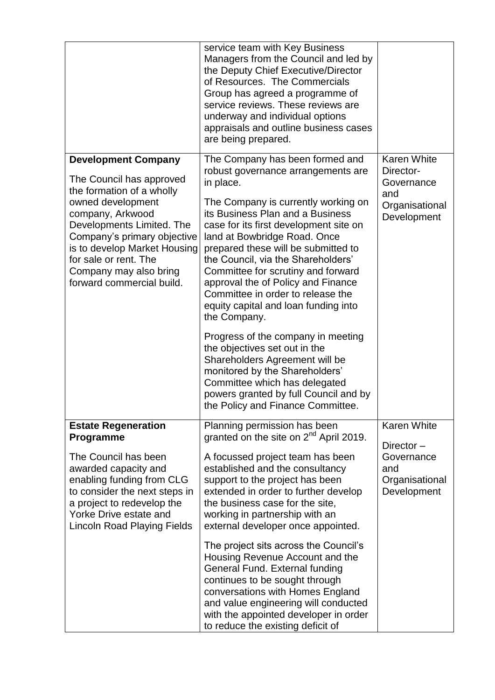|                                                                                                                                                                                                                                                                                                          | service team with Key Business<br>Managers from the Council and led by<br>the Deputy Chief Executive/Director<br>of Resources. The Commercials<br>Group has agreed a programme of<br>service reviews. These reviews are<br>underway and individual options<br>appraisals and outline business cases<br>are being prepared.                                                                                                                                                                                                                                                                             |                                                                                       |
|----------------------------------------------------------------------------------------------------------------------------------------------------------------------------------------------------------------------------------------------------------------------------------------------------------|--------------------------------------------------------------------------------------------------------------------------------------------------------------------------------------------------------------------------------------------------------------------------------------------------------------------------------------------------------------------------------------------------------------------------------------------------------------------------------------------------------------------------------------------------------------------------------------------------------|---------------------------------------------------------------------------------------|
| <b>Development Company</b><br>The Council has approved<br>the formation of a wholly<br>owned development<br>company, Arkwood<br>Developments Limited. The<br>Company's primary objective<br>is to develop Market Housing<br>for sale or rent. The<br>Company may also bring<br>forward commercial build. | The Company has been formed and<br>robust governance arrangements are<br>in place.<br>The Company is currently working on<br>its Business Plan and a Business<br>case for its first development site on<br>land at Bowbridge Road. Once<br>prepared these will be submitted to<br>the Council, via the Shareholders'<br>Committee for scrutiny and forward<br>approval the of Policy and Finance<br>Committee in order to release the<br>equity capital and loan funding into<br>the Company.<br>Progress of the company in meeting<br>the objectives set out in the<br>Shareholders Agreement will be | <b>Karen White</b><br>Director-<br>Governance<br>and<br>Organisational<br>Development |
|                                                                                                                                                                                                                                                                                                          | monitored by the Shareholders'<br>Committee which has delegated<br>powers granted by full Council and by<br>the Policy and Finance Committee.                                                                                                                                                                                                                                                                                                                                                                                                                                                          |                                                                                       |
| <b>Estate Regeneration</b><br>Programme                                                                                                                                                                                                                                                                  | Planning permission has been<br>granted on the site on 2 <sup>nd</sup> April 2019.                                                                                                                                                                                                                                                                                                                                                                                                                                                                                                                     | <b>Karen White</b>                                                                    |
| The Council has been<br>awarded capacity and<br>enabling funding from CLG<br>to consider the next steps in<br>a project to redevelop the<br>Yorke Drive estate and<br><b>Lincoln Road Playing Fields</b>                                                                                                 | A focussed project team has been<br>established and the consultancy<br>support to the project has been<br>extended in order to further develop<br>the business case for the site,<br>working in partnership with an<br>external developer once appointed.                                                                                                                                                                                                                                                                                                                                              | Director-<br>Governance<br>and<br>Organisational<br>Development                       |
|                                                                                                                                                                                                                                                                                                          | The project sits across the Council's<br>Housing Revenue Account and the<br>General Fund. External funding<br>continues to be sought through<br>conversations with Homes England<br>and value engineering will conducted<br>with the appointed developer in order<br>to reduce the existing deficit of                                                                                                                                                                                                                                                                                                 |                                                                                       |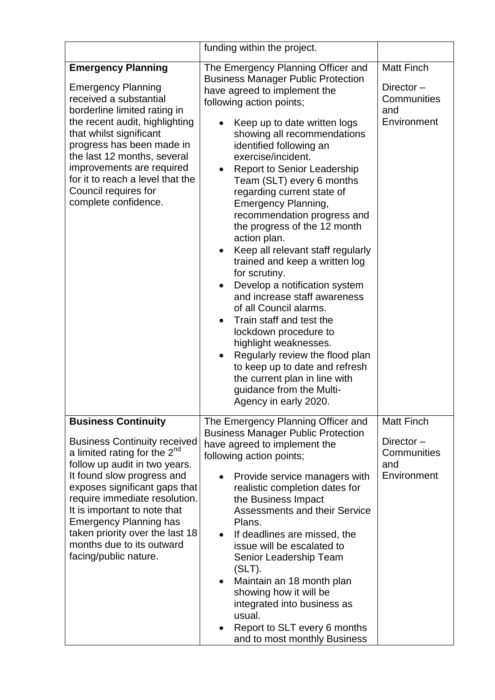|                                                                                                                                                                                                                                                                                                                                                                                                          | funding within the project.                                                                                                                                                                                                                                                                                                                                                                                                                                                                                                                                                                                                                                                                                                                                                                                                                                                                                                                               |                                                                     |
|----------------------------------------------------------------------------------------------------------------------------------------------------------------------------------------------------------------------------------------------------------------------------------------------------------------------------------------------------------------------------------------------------------|-----------------------------------------------------------------------------------------------------------------------------------------------------------------------------------------------------------------------------------------------------------------------------------------------------------------------------------------------------------------------------------------------------------------------------------------------------------------------------------------------------------------------------------------------------------------------------------------------------------------------------------------------------------------------------------------------------------------------------------------------------------------------------------------------------------------------------------------------------------------------------------------------------------------------------------------------------------|---------------------------------------------------------------------|
| <b>Emergency Planning</b><br><b>Emergency Planning</b><br>received a substantial<br>borderline limited rating in<br>the recent audit, highlighting<br>that whilst significant<br>progress has been made in<br>the last 12 months, several<br>improvements are required<br>for it to reach a level that the<br>Council requires for<br>complete confidence.                                               | The Emergency Planning Officer and<br><b>Business Manager Public Protection</b><br>have agreed to implement the<br>following action points;<br>Keep up to date written logs<br>showing all recommendations<br>identified following an<br>exercise/incident.<br><b>Report to Senior Leadership</b><br>Team (SLT) every 6 months<br>regarding current state of<br><b>Emergency Planning,</b><br>recommendation progress and<br>the progress of the 12 month<br>action plan.<br>Keep all relevant staff regularly<br>$\bullet$<br>trained and keep a written log<br>for scrutiny.<br>Develop a notification system<br>$\bullet$<br>and increase staff awareness<br>of all Council alarms.<br>Train staff and test the<br>$\bullet$<br>lockdown procedure to<br>highlight weaknesses.<br>Regularly review the flood plan<br>$\bullet$<br>to keep up to date and refresh<br>the current plan in line with<br>guidance from the Multi-<br>Agency in early 2020. | <b>Matt Finch</b><br>Director-<br>Communities<br>and<br>Environment |
| <b>Business Continuity</b><br><b>Business Continuity received</b><br>a limited rating for the 2 <sup>nd</sup><br>follow up audit in two years.<br>It found slow progress and<br>exposes significant gaps that<br>require immediate resolution.<br>It is important to note that<br><b>Emergency Planning has</b><br>taken priority over the last 18<br>months due to its outward<br>facing/public nature. | The Emergency Planning Officer and<br><b>Business Manager Public Protection</b><br>have agreed to implement the<br>following action points;<br>Provide service managers with<br>realistic completion dates for<br>the Business Impact<br><b>Assessments and their Service</b><br>Plans.<br>If deadlines are missed, the<br>issue will be escalated to<br>Senior Leadership Team<br>$(SLT)$ .<br>Maintain an 18 month plan<br>showing how it will be<br>integrated into business as<br>usual.<br>Report to SLT every 6 months<br>and to most monthly Business                                                                                                                                                                                                                                                                                                                                                                                              | <b>Matt Finch</b><br>Director-<br>Communities<br>and<br>Environment |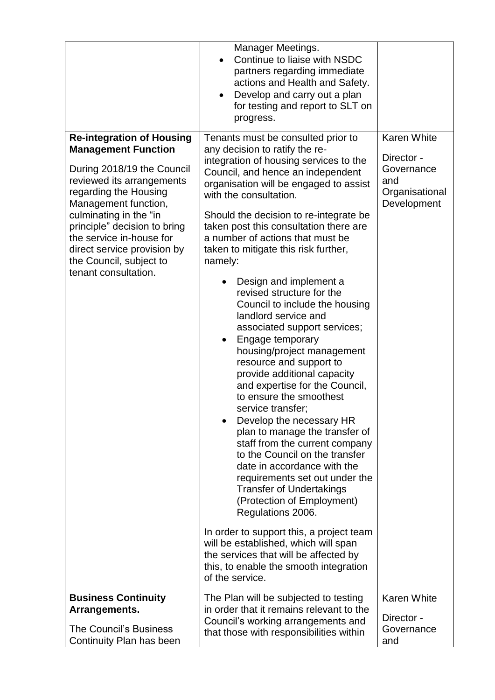|                                                                                                                                                                                                                                                                                                                                                    | Manager Meetings.<br>Continue to liaise with NSDC<br>partners regarding immediate<br>actions and Health and Safety.<br>Develop and carry out a plan<br>for testing and report to SLT on<br>progress.                                                                                                                                                                                                                                                                                                                                                                                                                                                                                                                                                                                                                                                                                                                                                                                                                                                                                                                                                                                                                           |                                                                                        |
|----------------------------------------------------------------------------------------------------------------------------------------------------------------------------------------------------------------------------------------------------------------------------------------------------------------------------------------------------|--------------------------------------------------------------------------------------------------------------------------------------------------------------------------------------------------------------------------------------------------------------------------------------------------------------------------------------------------------------------------------------------------------------------------------------------------------------------------------------------------------------------------------------------------------------------------------------------------------------------------------------------------------------------------------------------------------------------------------------------------------------------------------------------------------------------------------------------------------------------------------------------------------------------------------------------------------------------------------------------------------------------------------------------------------------------------------------------------------------------------------------------------------------------------------------------------------------------------------|----------------------------------------------------------------------------------------|
| <b>Re-integration of Housing</b><br><b>Management Function</b><br>During 2018/19 the Council<br>reviewed its arrangements<br>regarding the Housing<br>Management function,<br>culminating in the "in<br>principle" decision to bring<br>the service in-house for<br>direct service provision by<br>the Council, subject to<br>tenant consultation. | Tenants must be consulted prior to<br>any decision to ratify the re-<br>integration of housing services to the<br>Council, and hence an independent<br>organisation will be engaged to assist<br>with the consultation.<br>Should the decision to re-integrate be<br>taken post this consultation there are<br>a number of actions that must be<br>taken to mitigate this risk further,<br>namely:<br>Design and implement a<br>revised structure for the<br>Council to include the housing<br>landlord service and<br>associated support services;<br>Engage temporary<br>$\bullet$<br>housing/project management<br>resource and support to<br>provide additional capacity<br>and expertise for the Council,<br>to ensure the smoothest<br>service transfer;<br>Develop the necessary HR<br>plan to manage the transfer of<br>staff from the current company<br>to the Council on the transfer<br>date in accordance with the<br>requirements set out under the<br><b>Transfer of Undertakings</b><br>(Protection of Employment)<br>Regulations 2006.<br>In order to support this, a project team<br>will be established, which will span<br>the services that will be affected by<br>this, to enable the smooth integration | <b>Karen White</b><br>Director -<br>Governance<br>and<br>Organisational<br>Development |
| <b>Business Continuity</b>                                                                                                                                                                                                                                                                                                                         | of the service.<br>The Plan will be subjected to testing                                                                                                                                                                                                                                                                                                                                                                                                                                                                                                                                                                                                                                                                                                                                                                                                                                                                                                                                                                                                                                                                                                                                                                       | <b>Karen White</b>                                                                     |
| Arrangements.<br><b>The Council's Business</b><br>Continuity Plan has been                                                                                                                                                                                                                                                                         | in order that it remains relevant to the<br>Council's working arrangements and<br>that those with responsibilities within                                                                                                                                                                                                                                                                                                                                                                                                                                                                                                                                                                                                                                                                                                                                                                                                                                                                                                                                                                                                                                                                                                      | Director -<br>Governance<br>and                                                        |